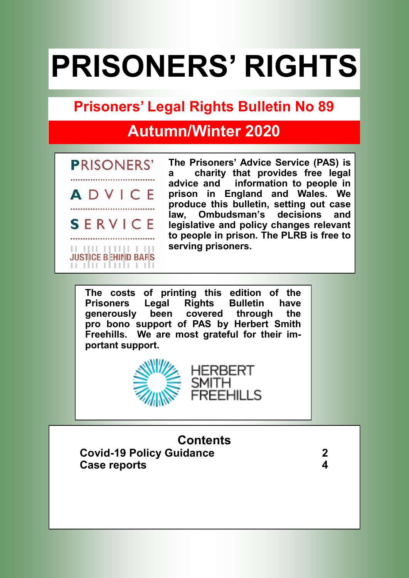# **PRISONERS' RIGHTS**

# **Prisoners' Legal Rights Bulletin No 89**

# **Autumn/Winter 2020**



**The Prisoners' Advice Service (PAS) is a charity that provides free legal advice and information to people in prison in England and Wales. We produce this bulletin, setting out case law, Ombudsman's decisions and legislative and policy changes relevant to people in prison. The PLRB is free to serving prisoners.**

**The costs of printing this edition of the Prisoners Legal Rights Bulletin have generously been covered through the pro bono support of PAS by Herbert Smith Freehills. We are most grateful for their important support.** 



**Contents**

HERBERT

EEHILLS

 **Covid-19 Policy Guidance 2 Case reports 4**

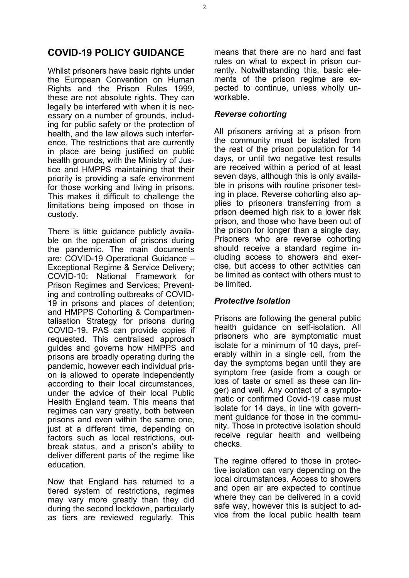# **COVID-19 POLICY GUIDANCE**

Whilst prisoners have basic rights under the European Convention on Human Rights and the Prison Rules 1999, these are not absolute rights. They can legally be interfered with when it is necessary on a number of grounds, including for public safety or the protection of health, and the law allows such interference. The restrictions that are currently in place are being justified on public health grounds, with the Ministry of Justice and HMPPS maintaining that their priority is providing a safe environment for those working and living in prisons. This makes it difficult to challenge the limitations being imposed on those in custody.

There is little guidance publicly available on the operation of prisons during the pandemic. The main documents are: COVID-19 Operational Guidance – Exceptional Regime & Service Delivery; COVID-10: National Framework for Prison Regimes and Services; Preventing and controlling outbreaks of COVID-19 in prisons and places of detention; and HMPPS Cohorting & Compartmentalisation Strategy for prisons during COVID-19. PAS can provide copies if requested. This centralised approach guides and governs how HMPPS and prisons are broadly operating during the pandemic, however each individual prison is allowed to operate independently according to their local circumstances, under the advice of their local Public Health England team. This means that regimes can vary greatly, both between prisons and even within the same one, just at a different time, depending on factors such as local restrictions, outbreak status, and a prison's ability to deliver different parts of the regime like education.

Now that England has returned to a tiered system of restrictions, regimes may vary more greatly than they did during the second lockdown, particularly as tiers are reviewed regularly. This means that there are no hard and fast rules on what to expect in prison currently. Notwithstanding this, basic elements of the prison regime are expected to continue, unless wholly unworkable.

# *Reverse cohorting*

All prisoners arriving at a prison from the community must be isolated from the rest of the prison population for 14 days, or until two negative test results are received within a period of at least seven days, although this is only available in prisons with routine prisoner testing in place. Reverse cohorting also applies to prisoners transferring from a prison deemed high risk to a lower risk prison, and those who have been out of the prison for longer than a single day. Prisoners who are reverse cohorting should receive a standard regime including access to showers and exercise, but access to other activities can be limited as contact with others must to be limited.

## *Protective Isolation*

Prisons are following the general public health guidance on self-isolation. All prisoners who are symptomatic must isolate for a minimum of 10 days, preferably within in a single cell, from the day the symptoms began until they are symptom free (aside from a cough or loss of taste or smell as these can linger) and well. Any contact of a symptomatic or confirmed Covid-19 case must isolate for 14 days, in line with government quidance for those in the community. Those in protective isolation should receive regular health and wellbeing checks.

The regime offered to those in protective isolation can vary depending on the local circumstances. Access to showers and open air are expected to continue where they can be delivered in a covid safe way, however this is subject to advice from the local public health team

2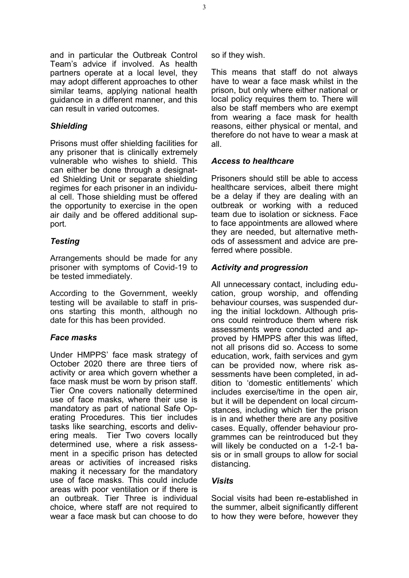and in particular the Outbreak Control Team's advice if involved. As health partners operate at a local level, they may adopt different approaches to other similar teams, applying national health guidance in a different manner, and this can result in varied outcomes.

# *Shielding*

Prisons must offer shielding facilities for any prisoner that is clinically extremely vulnerable who wishes to shield. This can either be done through a designated Shielding Unit or separate shielding regimes for each prisoner in an individual cell. Those shielding must be offered the opportunity to exercise in the open air daily and be offered additional support.

# *Testing*

Arrangements should be made for any prisoner with symptoms of Covid-19 to be tested immediately.

According to the Government, weekly testing will be available to staff in prisons starting this month, although no date for this has been provided.

# *Face masks*

Under HMPPS' face mask strategy of October 2020 there are three tiers of activity or area which govern whether a face mask must be worn by prison staff. Tier One covers nationally determined use of face masks, where their use is mandatory as part of national Safe Operating Procedures. This tier includes tasks like searching, escorts and delivering meals. Tier Two covers locally determined use, where a risk assessment in a specific prison has detected areas or activities of increased risks making it necessary for the mandatory use of face masks. This could include areas with poor ventilation or if there is an outbreak. Tier Three is individual choice, where staff are not required to wear a face mask but can choose to do

so if they wish.

This means that staff do not always have to wear a face mask whilst in the prison, but only where either national or local policy requires them to. There will also be staff members who are exempt from wearing a face mask for health reasons, either physical or mental, and therefore do not have to wear a mask at all.

# *Access to healthcare*

Prisoners should still be able to access healthcare services, albeit there might be a delay if they are dealing with an outbreak or working with a reduced team due to isolation or sickness. Face to face appointments are allowed where they are needed, but alternative methods of assessment and advice are preferred where possible.

# *Activity and progression*

All unnecessary contact, including education, group worship, and offending behaviour courses, was suspended during the initial lockdown. Although prisons could reintroduce them where risk assessments were conducted and approved by HMPPS after this was lifted, not all prisons did so. Access to some education, work, faith services and gym can be provided now, where risk assessments have been completed, in addition to 'domestic entitlements' which includes exercise/time in the open air, but it will be dependent on local circumstances, including which tier the prison is in and whether there are any positive cases. Equally, offender behaviour programmes can be reintroduced but they will likely be conducted on a 1-2-1 basis or in small groups to allow for social distancing.

## *Visits*

Social visits had been re-established in the summer, albeit significantly different to how they were before, however they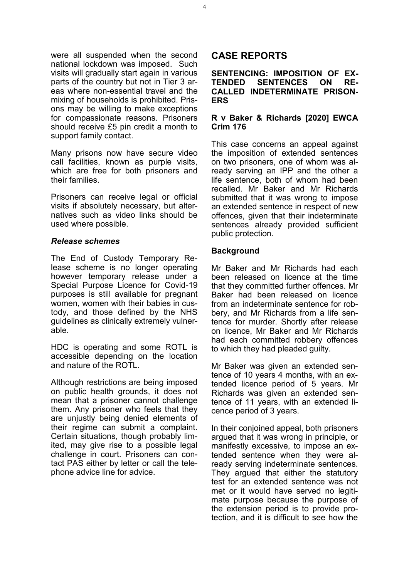were all suspended when the second national lockdown was imposed. Such visits will gradually start again in various parts of the country but not in Tier 3 areas where non-essential travel and the mixing of households is prohibited. Prisons may be willing to make exceptions for compassionate reasons. Prisoners should receive £5 pin credit a month to support family contact.

Many prisons now have secure video call facilities, known as purple visits, which are free for both prisoners and their families.

Prisoners can receive legal or official visits if absolutely necessary, but alternatives such as video links should be used where possible.

## *Release schemes*

The End of Custody Temporary Release scheme is no longer operating however temporary release under a Special Purpose Licence for Covid-19 purposes is still available for pregnant women, women with their babies in custody, and those defined by the NHS guidelines as clinically extremely vulnerable.

HDC is operating and some ROTL is accessible depending on the location and nature of the ROTL.

Although restrictions are being imposed on public health grounds, it does not mean that a prisoner cannot challenge them. Any prisoner who feels that they are unjustly being denied elements of their regime can submit a complaint. Certain situations, though probably limited, may give rise to a possible legal challenge in court. Prisoners can contact PAS either by letter or call the telephone advice line for advice.

# **CASE REPORTS**

#### **SENTENCING: IMPOSITION OF EX-TENDED SENTENCES ON RE-CALLED INDETERMINATE PRISON-ERS**

#### **R v Baker & Richards [2020] EWCA Crim 176**

This case concerns an appeal against the imposition of extended sentences on two prisoners, one of whom was already serving an IPP and the other a life sentence, both of whom had been recalled. Mr Baker and Mr Richards submitted that it was wrong to impose an extended sentence in respect of new offences, given that their indeterminate sentences already provided sufficient public protection.

#### **Background**

Mr Baker and Mr Richards had each been released on licence at the time that they committed further offences. Mr Baker had been released on licence from an indeterminate sentence for robbery, and Mr Richards from a life sentence for murder. Shortly after release on licence, Mr Baker and Mr Richards had each committed robbery offences to which they had pleaded guilty.

Mr Baker was given an extended sentence of 10 years 4 months, with an extended licence period of 5 years. Mr Richards was given an extended sentence of 11 years, with an extended licence period of 3 years.

In their conjoined appeal, both prisoners argued that it was wrong in principle, or manifestly excessive, to impose an extended sentence when they were already serving indeterminate sentences. They argued that either the statutory test for an extended sentence was not met or it would have served no legitimate purpose because the purpose of the extension period is to provide protection, and it is difficult to see how the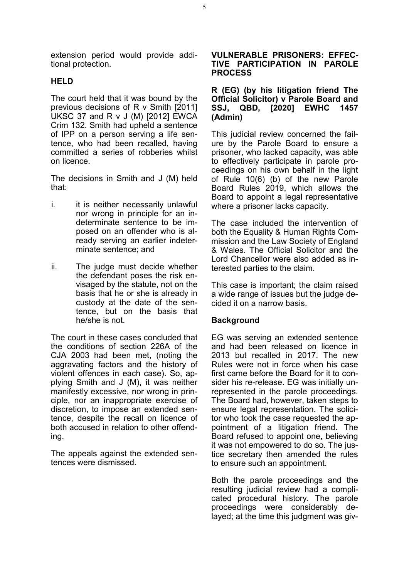extension period would provide additional protection.

#### **HELD**

The court held that it was bound by the previous decisions of R v Smith [2011] UKSC 37 and R v J (M) [2012] EWCA Crim 132. Smith had upheld a sentence of IPP on a person serving a life sentence, who had been recalled, having committed a series of robberies whilst on licence.

The decisions in Smith and J (M) held that:

- i. it is neither necessarily unlawful nor wrong in principle for an indeterminate sentence to be imposed on an offender who is already serving an earlier indeterminate sentence; and
- ii. The judge must decide whether the defendant poses the risk envisaged by the statute, not on the basis that he or she is already in custody at the date of the sentence, but on the basis that he/she is not.

The court in these cases concluded that the conditions of section 226A of the CJA 2003 had been met, (noting the aggravating factors and the history of violent offences in each case). So, applying Smith and J (M), it was neither manifestly excessive, nor wrong in principle, nor an inappropriate exercise of discretion, to impose an extended sentence, despite the recall on licence of both accused in relation to other offending.

The appeals against the extended sentences were dismissed.

#### **VULNERABLE PRISONERS: EFFEC-TIVE PARTICIPATION IN PAROLE PROCESS**

#### **R (EG) (by his litigation friend The Official Solicitor) v Parole Board and SSJ, QBD, [2020] EWHC 1457 (Admin)**

This judicial review concerned the failure by the Parole Board to ensure a prisoner, who lacked capacity, was able to effectively participate in parole proceedings on his own behalf in the light of Rule 10(6) (b) of the new Parole Board Rules 2019, which allows the Board to appoint a legal representative where a prisoner lacks capacity.

The case included the intervention of both the Equality & Human Rights Commission and the Law Society of England & Wales. The Official Solicitor and the Lord Chancellor were also added as interested parties to the claim.

This case is important; the claim raised a wide range of issues but the judge decided it on a narrow basis.

## **Background**

EG was serving an extended sentence and had been released on licence in 2013 but recalled in 2017. The new Rules were not in force when his case first came before the Board for it to consider his re-release. EG was initially unrepresented in the parole proceedings. The Board had, however, taken steps to ensure legal representation. The solicitor who took the case requested the appointment of a litigation friend. The Board refused to appoint one, believing it was not empowered to do so. The justice secretary then amended the rules to ensure such an appointment.

Both the parole proceedings and the resulting judicial review had a complicated procedural history. The parole proceedings were considerably delayed; at the time this judgment was giv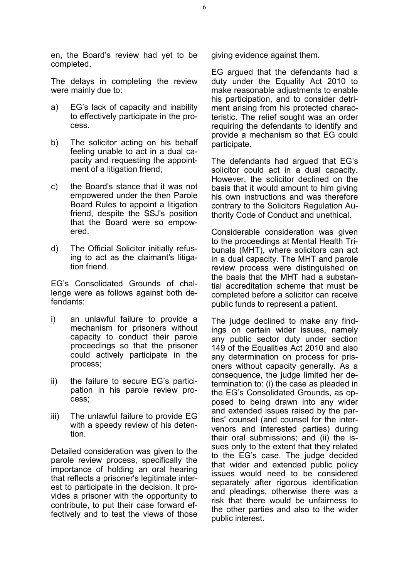en, the Board's review had yet to be completed.

The delays in completing the review were mainly due to:

- a) EG's lack of capacity and inability to effectively participate in the process.
- b) The solicitor acting on his behalf feeling unable to act in a dual capacity and requesting the appointment of a litigation friend;
- c) the Board's stance that it was not empowered under the then Parole Board Rules to appoint a litigation friend, despite the SSJ's position that the Board were so empowered.
- d) The Official Solicitor initially refusing to act as the claimant's litigation friend.

EG's Consolidated Grounds of challenge were as follows against both defendants:

- i) an unlawful failure to provide a mechanism for prisoners without capacity to conduct their parole proceedings so that the prisoner could actively participate in the process;
- ii) the failure to secure EG's participation in his parole review process;
- iii) The unlawful failure to provide EG with a speedy review of his detention.

Detailed consideration was given to the parole review process, specifically the importance of holding an oral hearing that reflects a prisoner's legitimate interest to participate in the decision. It provides a prisoner with the opportunity to contribute, to put their case forward effectively and to test the views of those giving evidence against them.

EG argued that the defendants had a duty under the Equality Act 2010 to make reasonable adjustments to enable his participation, and to consider detriment arising from his protected characteristic. The relief sought was an order requiring the defendants to identify and provide a mechanism so that EG could participate.

The defendants had argued that EG's solicitor could act in a dual capacity. However, the solicitor declined on the basis that it would amount to him giving his own instructions and was therefore contrary to the Solicitors Regulation Authority Code of Conduct and unethical.

Considerable consideration was given to the proceedings at Mental Health Tribunals (MHT), where solicitors can act in a dual capacity. The MHT and parole review process were distinguished on the basis that the MHT had a substantial accreditation scheme that must be completed before a solicitor can receive public funds to represent a patient.

The judge declined to make any findings on certain wider issues, namely any public sector duty under section 149 of the Equalities Act 2010 and also any determination on process for prisoners without capacity generally. As a consequence, the judge limited her determination to: (i) the case as pleaded in the EG's Consolidated Grounds, as opposed to being drawn into any wider and extended issues raised by the parties' counsel (and counsel for the intervenors and interested parties) during their oral submissions; and (ii) the issues only to the extent that they related to the EG's case. The judge decided that wider and extended public policy issues would need to be considered separately after rigorous identification and pleadings, otherwise there was a risk that there would be unfairness to the other parties and also to the wider public interest.

6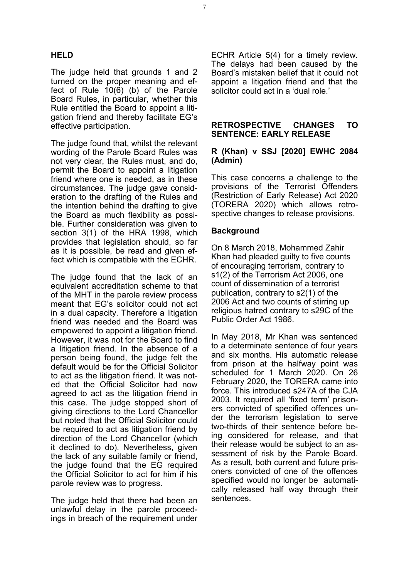# **HELD**

The judge held that grounds 1 and 2 turned on the proper meaning and effect of Rule 10(6) (b) of the Parole Board Rules, in particular, whether this Rule entitled the Board to appoint a litigation friend and thereby facilitate EG's effective participation.

The judge found that, whilst the relevant wording of the Parole Board Rules was not very clear, the Rules must, and do, permit the Board to appoint a litigation friend where one is needed, as in these circumstances. The judge gave consideration to the drafting of the Rules and the intention behind the drafting to give the Board as much flexibility as possible. Further consideration was given to section 3(1) of the HRA 1998, which provides that legislation should, so far as it is possible, be read and given effect which is compatible with the ECHR.

The judge found that the lack of an equivalent accreditation scheme to that of the MHT in the parole review process meant that EG's solicitor could not act in a dual capacity. Therefore a litigation friend was needed and the Board was empowered to appoint a litigation friend. However, it was not for the Board to find a litigation friend. In the absence of a person being found, the judge felt the default would be for the Official Solicitor to act as the litigation friend. It was noted that the Official Solicitor had now agreed to act as the litigation friend in this case. The judge stopped short of giving directions to the Lord Chancellor but noted that the Official Solicitor could be required to act as litigation friend by direction of the Lord Chancellor (which it declined to do). Nevertheless, given the lack of any suitable family or friend, the judge found that the EG required the Official Solicitor to act for him if his parole review was to progress.

The judge held that there had been an unlawful delay in the parole proceedings in breach of the requirement under ECHR Article 5(4) for a timely review. The delays had been caused by the Board's mistaken belief that it could not appoint a litigation friend and that the solicitor could act in a 'dual role.'

#### **RETROSPECTIVE CHANGES TO SENTENCE: EARLY RELEASE**

#### **R (Khan) v SSJ [2020] EWHC 2084 (Admin)**

This case concerns a challenge to the provisions of the Terrorist Offenders (Restriction of Early Release) Act 2020 (TORERA 2020) which allows retrospective changes to release provisions.

## **Background**

On 8 March 2018, Mohammed Zahir Khan had pleaded guilty to five counts of encouraging terrorism, contrary to s1(2) of the Terrorism Act 2006, one count of dissemination of a terrorist publication, contrary to s2(1) of the 2006 Act and two counts of stirring up religious hatred contrary to s29C of the Public Order Act 1986.

In May 2018, Mr Khan was sentenced to a determinate sentence of four years and six months. His automatic release from prison at the halfway point was scheduled for 1 March 2020. On 26 February 2020, the TORERA came into force. This introduced s247A of the CJA 2003. It required all 'fixed term' prisoners convicted of specified offences under the terrorism legislation to serve two-thirds of their sentence before being considered for release, and that their release would be subject to an assessment of risk by the Parole Board. As a result, both current and future prisoners convicted of one of the offences specified would no longer be automatically released half way through their sentences.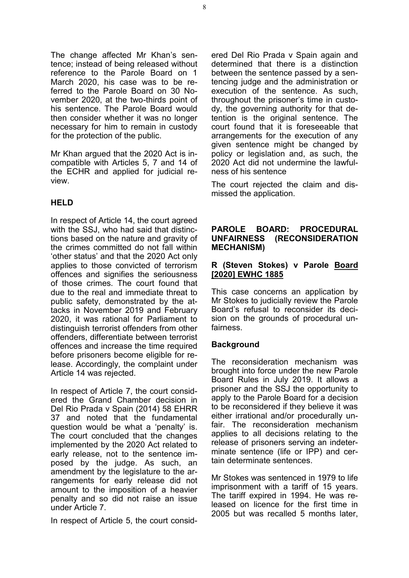The change affected Mr Khan's sentence; instead of being released without reference to the Parole Board on 1 March 2020, his case was to be referred to the Parole Board on 30 November 2020, at the two-thirds point of his sentence. The Parole Board would then consider whether it was no longer necessary for him to remain in custody for the protection of the public.

Mr Khan argued that the 2020 Act is incompatible with Articles 5, 7 and 14 of the ECHR and applied for judicial review.

# **HELD**

In respect of Article 14, the court agreed with the SSJ, who had said that distinctions based on the nature and gravity of the crimes committed do not fall within 'other status' and that the 2020 Act only applies to those convicted of terrorism offences and signifies the seriousness of those crimes. The court found that due to the real and immediate threat to public safety, demonstrated by the attacks in November 2019 and February 2020, it was rational for Parliament to distinguish terrorist offenders from other offenders, differentiate between terrorist offences and increase the time required before prisoners become eligible for release. Accordingly, the complaint under Article 14 was rejected.

In respect of Article 7, the court considered the Grand Chamber decision in Del Rio Prada v Spain (2014) 58 EHRR 37 and noted that the fundamental question would be what a 'penalty' is. The court concluded that the changes implemented by the 2020 Act related to early release, not to the sentence imposed by the judge. As such, an amendment by the legislature to the arrangements for early release did not amount to the imposition of a heavier penalty and so did not raise an issue under Article 7.

In respect of Article 5, the court consid-

ered Del Rio Prada v Spain again and determined that there is a distinction between the sentence passed by a sentencing judge and the administration or execution of the sentence. As such, throughout the prisoner's time in custody, the governing authority for that detention is the original sentence. The court found that it is foreseeable that arrangements for the execution of any given sentence might be changed by policy or legislation and, as such, the 2020 Act did not undermine the lawfulness of his sentence

The court rejected the claim and dismissed the application.

#### **PAROLE BOARD: PROCEDURAL UNFAIRNESS (RECONSIDERATION MECHANISM)**

# **R (Steven Stokes) v Parole Board [2020] EWHC 1885**

This case concerns an application by Mr Stokes to judicially review the Parole Board's refusal to reconsider its decision on the grounds of procedural unfairness.

## **Background**

The reconsideration mechanism was brought into force under the new Parole Board Rules in July 2019. It allows a prisoner and the SSJ the opportunity to apply to the Parole Board for a decision to be reconsidered if they believe it was either irrational and/or procedurally unfair. The reconsideration mechanism applies to all decisions relating to the release of prisoners serving an indeterminate sentence (life or IPP) and certain determinate sentences.

Mr Stokes was sentenced in 1979 to life imprisonment with a tariff of 15 years. The tariff expired in 1994. He was released on licence for the first time in 2005 but was recalled 5 months later,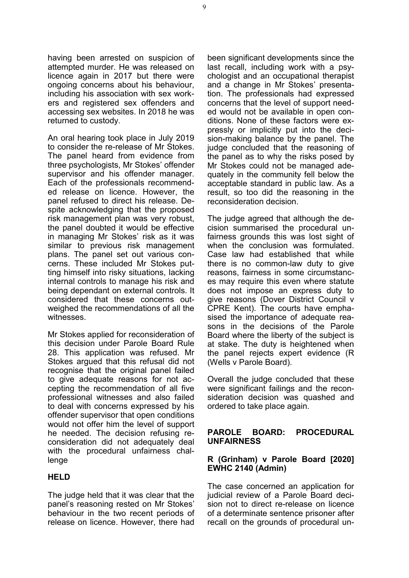having been arrested on suspicion of attempted murder. He was released on licence again in 2017 but there were ongoing concerns about his behaviour, including his association with sex workers and registered sex offenders and accessing sex websites. In 2018 he was returned to custody.

An oral hearing took place in July 2019 to consider the re-release of Mr Stokes. The panel heard from evidence from three psychologists, Mr Stokes' offender supervisor and his offender manager. Each of the professionals recommended release on licence. However, the panel refused to direct his release. Despite acknowledging that the proposed risk management plan was very robust, the panel doubted it would be effective in managing Mr Stokes' risk as it was similar to previous risk management plans. The panel set out various concerns. These included Mr Stokes putting himself into risky situations, lacking internal controls to manage his risk and being dependant on external controls. It considered that these concerns outweighed the recommendations of all the witnesses.

Mr Stokes applied for reconsideration of this decision under Parole Board Rule 28. This application was refused. Mr Stokes argued that this refusal did not recognise that the original panel failed to give adequate reasons for not accepting the recommendation of all five professional witnesses and also failed to deal with concerns expressed by his offender supervisor that open conditions would not offer him the level of support he needed. The decision refusing reconsideration did not adequately deal with the procedural unfairness challenge

## **HELD**

The judge held that it was clear that the panel's reasoning rested on Mr Stokes' behaviour in the two recent periods of release on licence. However, there had

been significant developments since the last recall, including work with a psychologist and an occupational therapist and a change in Mr Stokes' presentation. The professionals had expressed concerns that the level of support needed would not be available in open conditions. None of these factors were expressly or implicitly put into the decision-making balance by the panel. The judge concluded that the reasoning of the panel as to why the risks posed by Mr Stokes could not be managed adequately in the community fell below the acceptable standard in public law. As a result, so too did the reasoning in the reconsideration decision.

The judge agreed that although the decision summarised the procedural unfairness grounds this was lost sight of when the conclusion was formulated. Case law had established that while there is no common-law duty to give reasons, fairness in some circumstances may require this even where statute does not impose an express duty to give reasons (Dover District Council v CPRE Kent). The courts have emphasised the importance of adequate reasons in the decisions of the Parole Board where the liberty of the subject is at stake. The duty is heightened when the panel rejects expert evidence (R (Wells v Parole Board).

Overall the judge concluded that these were significant failings and the reconsideration decision was quashed and ordered to take place again.

#### **PAROLE BOARD: PROCEDURAL UNFAIRNESS**

# **R (Grinham) v Parole Board [2020] EWHC 2140 (Admin)**

The case concerned an application for judicial review of a Parole Board decision not to direct re-release on licence of a determinate sentence prisoner after recall on the grounds of procedural un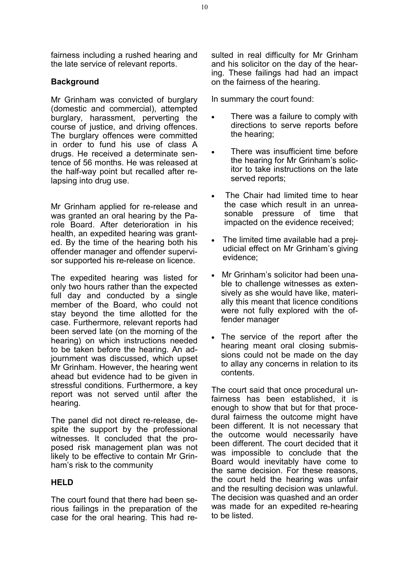fairness including a rushed hearing and the late service of relevant reports.

# **Background**

Mr Grinham was convicted of burglary (domestic and commercial), attempted burglary, harassment, perverting the course of justice, and driving offences. The burglary offences were committed in order to fund his use of class A drugs. He received a determinate sentence of 56 months. He was released at the half-way point but recalled after relapsing into drug use.

Mr Grinham applied for re-release and was granted an oral hearing by the Parole Board. After deterioration in his health, an expedited hearing was granted. By the time of the hearing both his offender manager and offender supervisor supported his re-release on licence.

The expedited hearing was listed for only two hours rather than the expected full day and conducted by a single member of the Board, who could not stay beyond the time allotted for the case. Furthermore, relevant reports had been served late (on the morning of the hearing) on which instructions needed to be taken before the hearing. An adjournment was discussed, which upset Mr Grinham. However, the hearing went ahead but evidence had to be given in stressful conditions. Furthermore, a key report was not served until after the hearing.

The panel did not direct re-release, despite the support by the professional witnesses. It concluded that the proposed risk management plan was not likely to be effective to contain Mr Grinham's risk to the community

# **HELD**

The court found that there had been serious failings in the preparation of the case for the oral hearing. This had resulted in real difficulty for Mr Grinham and his solicitor on the day of the hearing. These failings had had an impact on the fairness of the hearing.

In summary the court found:

- There was a failure to comply with directions to serve reports before the hearing;
- There was insufficient time before the hearing for Mr Grinham's solicitor to take instructions on the late served reports;
- The Chair had limited time to hear the case which result in an unreasonable pressure of time that impacted on the evidence received;
- The limited time available had a prejudicial effect on Mr Grinham's giving evidence;
- Mr Grinham's solicitor had been unable to challenge witnesses as extensively as she would have like, materially this meant that licence conditions were not fully explored with the offender manager
- The service of the report after the hearing meant oral closing submissions could not be made on the day to allay any concerns in relation to its contents.

The court said that once procedural unfairness has been established, it is enough to show that but for that procedural fairness the outcome might have been different. It is not necessary that the outcome would necessarily have been different. The court decided that it was impossible to conclude that the Board would inevitably have come to the same decision. For these reasons, the court held the hearing was unfair and the resulting decision was unlawful. The decision was quashed and an order was made for an expedited re-hearing to be listed.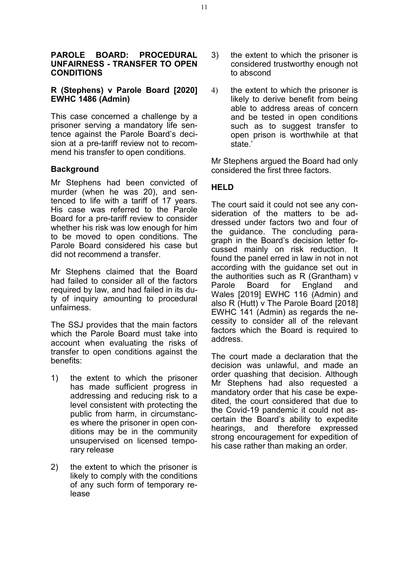#### **PAROLE BOARD: PROCEDURAL UNFAIRNESS - TRANSFER TO OPEN CONDITIONS**

# **R (Stephens) v Parole Board [2020] EWHC 1486 (Admin)**

This case concerned a challenge by a prisoner serving a mandatory life sentence against the Parole Board's decision at a pre-tariff review not to recommend his transfer to open conditions.

# **Background**

Mr Stephens had been convicted of murder (when he was 20), and sentenced to life with a tariff of 17 years. His case was referred to the Parole Board for a pre-tariff review to consider whether his risk was low enough for him to be moved to open conditions. The Parole Board considered his case but did not recommend a transfer.

Mr Stephens claimed that the Board had failed to consider all of the factors required by law, and had failed in its duty of inquiry amounting to procedural unfairness.

The SSJ provides that the main factors which the Parole Board must take into account when evaluating the risks of transfer to open conditions against the benefits:

- 1) the extent to which the prisoner has made sufficient progress in addressing and reducing risk to a level consistent with protecting the public from harm, in circumstances where the prisoner in open conditions may be in the community unsupervised on licensed temporary release
- 2) the extent to which the prisoner is likely to comply with the conditions of any such form of temporary release
- 3) the extent to which the prisoner is considered trustworthy enough not to abscond
- 4) the extent to which the prisoner is likely to derive benefit from being able to address areas of concern and be tested in open conditions such as to suggest transfer to open prison is worthwhile at that state.'

Mr Stephens argued the Board had only considered the first three factors.

# **HELD**

The court said it could not see any consideration of the matters to be addressed under factors two and four of the guidance. The concluding paragraph in the Board's decision letter focussed mainly on risk reduction. It found the panel erred in law in not in not according with the guidance set out in the authorities such as R (Grantham) v Parole Board for England and Wales [\[2019\] EWHC 116 \(Admin\)](https://www.bailii.org/ew/cases/EWHC/Admin/2019/116.html) and also R (Hutt) v The Parole Board [2018] [EWHC 141 \(Admin\)](https://www.bailii.org/ew/cases/EWHC/Admin/2018/141.html) as regards the necessity to consider all of the relevant factors which the Board is required to address.

The court made a declaration that the decision was unlawful, and made an order quashing that decision. Although Mr Stephens had also requested a mandatory order that his case be expedited, the court considered that due to the Covid-19 pandemic it could not ascertain the Board's ability to expedite hearings, and therefore expressed strong encouragement for expedition of his case rather than making an order.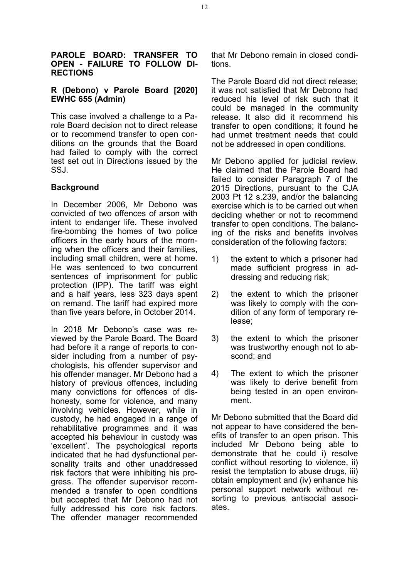#### **PAROLE BOARD: TRANSFER TO OPEN - FAILURE TO FOLLOW DI-RECTIONS**

# **R (Debono) v Parole Board [2020] EWHC 655 (Admin)**

This case involved a challenge to a Parole Board decision not to direct release or to recommend transfer to open conditions on the grounds that the Board had failed to comply with the correct test set out in Directions issued by the SSJ.

# **Background**

In December 2006, Mr Debono was convicted of two offences of arson with intent to endanger life. These involved fire-bombing the homes of two police officers in the early hours of the morning when the officers and their families, including small children, were at home. He was sentenced to two concurrent sentences of imprisonment for public protection (IPP). The tariff was eight and a half years, less 323 days spent on remand. The tariff had expired more than five years before, in October 2014.

In 2018 Mr Debono's case was reviewed by the Parole Board. The Board had before it a range of reports to consider including from a number of psychologists, his offender supervisor and his offender manager. Mr Debono had a history of previous offences, including many convictions for offences of dishonesty, some for violence, and many involving vehicles. However, while in custody, he had engaged in a range of rehabilitative programmes and it was accepted his behaviour in custody was 'excellent'. The psychological reports indicated that he had dysfunctional personality traits and other unaddressed risk factors that were inhibiting his progress. The offender supervisor recommended a transfer to open conditions but accepted that Mr Debono had not fully addressed his core risk factors. The offender manager recommended

that Mr Debono remain in closed conditions.

The Parole Board did not direct release; it was not satisfied that Mr Debono had reduced his level of risk such that it could be managed in the community release. It also did it recommend his transfer to open conditions; it found he had unmet treatment needs that could not be addressed in open conditions.

Mr Debono applied for judicial review. He claimed that the Parole Board had failed to consider Paragraph 7 of the 2015 Directions, pursuant to the CJA 2003 Pt 12 s.239, and/or the balancing exercise which is to be carried out when deciding whether or not to recommend transfer to open conditions. The balancing of the risks and benefits involves consideration of the following factors:

- 1) the extent to which a prisoner had made sufficient progress in addressing and reducing risk;
- 2) the extent to which the prisoner was likely to comply with the condition of any form of temporary release;
- 3) the extent to which the prisoner was trustworthy enough not to abscond; and
- 4) The extent to which the prisoner was likely to derive benefit from being tested in an open environment.

Mr Debono submitted that the Board did not appear to have considered the benefits of transfer to an open prison. This included Mr Debono being able to demonstrate that he could i) resolve conflict without resorting to violence, ii) resist the temptation to abuse drugs, iii) obtain employment and (iv) enhance his personal support network without resorting to previous antisocial associates.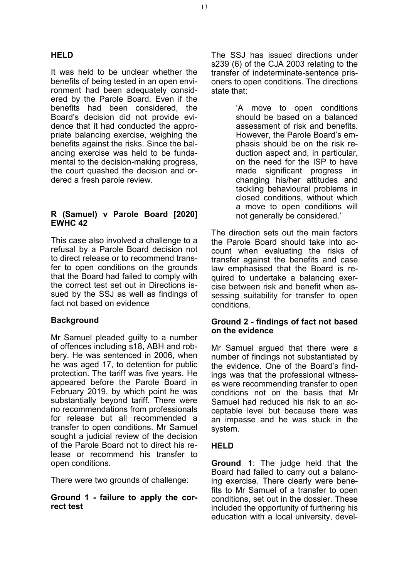It was held to be unclear whether the benefits of being tested in an open environment had been adequately considered by the Parole Board. Even if the benefits had been considered, the Board's decision did not provide evidence that it had conducted the appropriate balancing exercise, weighing the benefits against the risks. Since the balancing exercise was held to be fundamental to the decision-making progress, the court quashed the decision and ordered a fresh parole review.

# **R (Samuel) v Parole Board [2020] EWHC 42**

This case also involved a challenge to a refusal by a Parole Board decision not to direct release or to recommend transfer to open conditions on the grounds that the Board had failed to comply with the correct test set out in Directions issued by the SSJ as well as findings of fact not based on evidence

# **Background**

Mr Samuel pleaded guilty to a number of offences including s18, ABH and robbery. He was sentenced in 2006, when he was aged 17, to detention for public protection. The tariff was five years. He appeared before the Parole Board in February 2019, by which point he was substantially beyond tariff. There were no recommendations from professionals for release but all recommended a transfer to open conditions. Mr Samuel sought a judicial review of the decision of the Parole Board not to direct his release or recommend his transfer to open conditions.

There were two grounds of challenge:

# **Ground 1 - failure to apply the correct test**

The SSJ has issued directions under s239 (6) of the CJA 2003 relating to the transfer of indeterminate-sentence prisoners to open conditions. The directions state that:

> 'A move to open conditions should be based on a balanced assessment of risk and benefits. However, the Parole Board's emphasis should be on the risk reduction aspect and, in particular, on the need for the ISP to have made significant progress in changing his/her attitudes and tackling behavioural problems in closed conditions, without which a move to open conditions will not generally be considered.'

The direction sets out the main factors the Parole Board should take into account when evaluating the risks of transfer against the benefits and case law emphasised that the Board is required to undertake a balancing exercise between risk and benefit when assessing suitability for transfer to open conditions.

## **Ground 2 - findings of fact not based on the evidence**

Mr Samuel argued that there were a number of findings not substantiated by the evidence. One of the Board's findings was that the professional witnesses were recommending transfer to open conditions not on the basis that Mr Samuel had reduced his risk to an acceptable level but because there was an impasse and he was stuck in the system.

# **HELD**

**Ground 1**: The judge held that the Board had failed to carry out a balancing exercise. There clearly were benefits to Mr Samuel of a transfer to open conditions, set out in the dossier. These included the opportunity of furthering his education with a local university, devel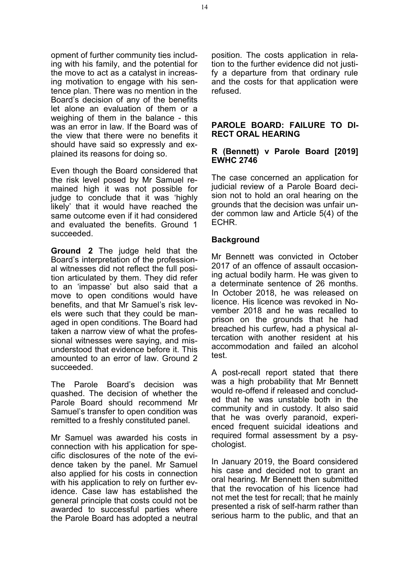opment of further community ties including with his family, and the potential for the move to act as a catalyst in increasing motivation to engage with his sentence plan. There was no mention in the Board's decision of any of the benefits let alone an evaluation of them or a weighing of them in the balance - this was an error in law. If the Board was of the view that there were no benefits it should have said so expressly and explained its reasons for doing so.

Even though the Board considered that the risk level posed by Mr Samuel remained high it was not possible for judge to conclude that it was 'highly likely' that it would have reached the same outcome even if it had considered and evaluated the benefits. Ground 1 succeeded.

**Ground 2** The judge held that the Board's interpretation of the professional witnesses did not reflect the full position articulated by them. They did refer to an 'impasse' but also said that a move to open conditions would have benefits, and that Mr Samuel's risk levels were such that they could be managed in open conditions. The Board had taken a narrow view of what the professional witnesses were saying, and misunderstood that evidence before it. This amounted to an error of law. Ground 2 succeeded.

The Parole Board's decision was quashed. The decision of whether the Parole Board should recommend Mr Samuel's transfer to open condition was remitted to a freshly constituted panel.

Mr Samuel was awarded his costs in connection with his application for specific disclosures of the note of the evidence taken by the panel. Mr Samuel also applied for his costs in connection with his application to rely on further evidence. Case law has established the general principle that costs could not be awarded to successful parties where the Parole Board has adopted a neutral position. The costs application in relation to the further evidence did not justify a departure from that ordinary rule and the costs for that application were refused.

## **PAROLE BOARD: FAILURE TO DI-RECT ORAL HEARING**

## **R (Bennett) v Parole Board [2019] EWHC 2746**

The case concerned an application for judicial review of a Parole Board decision not to hold an oral hearing on the grounds that the decision was unfair under common law and Article 5(4) of the ECHR.

# **Background**

Mr Bennett was convicted in October 2017 of an offence of assault occasioning actual bodily harm. He was given to a determinate sentence of 26 months. In October 2018, he was released on licence. His licence was revoked in November 2018 and he was recalled to prison on the grounds that he had breached his curfew, had a physical altercation with another resident at his accommodation and failed an alcohol test.

A post-recall report stated that there was a high probability that Mr Bennett would re-offend if released and concluded that he was unstable both in the community and in custody. It also said that he was overly paranoid, experienced frequent suicidal ideations and required formal assessment by a psychologist.

In January 2019, the Board considered his case and decided not to grant an oral hearing. Mr Bennett then submitted that the revocation of his licence had not met the test for recall; that he mainly presented a risk of self-harm rather than serious harm to the public, and that an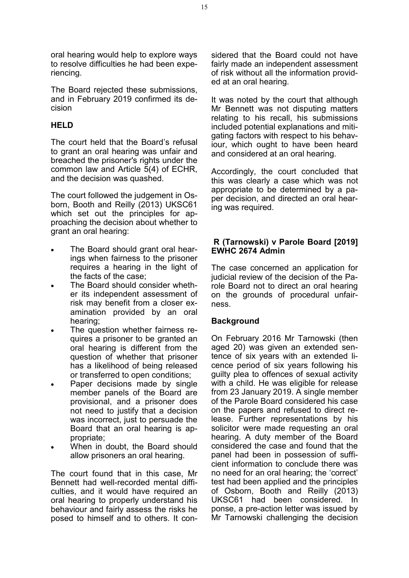oral hearing would help to explore ways to resolve difficulties he had been experiencing.

The Board rejected these submissions, and in February 2019 confirmed its decision

# **HELD**

The court held that the Board's refusal to grant an oral hearing was unfair and breached the prisoner's rights under the common law and Article 5(4) of ECHR, and the decision was quashed.

The court followed the judgement in Osborn, Booth and Reilly (2013) UKSC61 which set out the principles for approaching the decision about whether to grant an oral hearing:

- The Board should grant oral hearings when fairness to the prisoner requires a hearing in the light of the facts of the case;
- The Board should consider whether its independent assessment of risk may benefit from a closer examination provided by an oral hearing;
- The question whether fairness requires a prisoner to be granted an oral hearing is different from the question of whether that prisoner has a likelihood of being released or transferred to open conditions;
- Paper decisions made by single member panels of the Board are provisional, and a prisoner does not need to justify that a decision was incorrect, just to persuade the Board that an oral hearing is appropriate;
- When in doubt, the Board should allow prisoners an oral hearing.

The court found that in this case, Mr Bennett had well-recorded mental difficulties, and it would have required an oral hearing to properly understand his behaviour and fairly assess the risks he posed to himself and to others. It con-

sidered that the Board could not have fairly made an independent assessment of risk without all the information provided at an oral hearing.

It was noted by the court that although Mr Bennett was not disputing matters relating to his recall, his submissions included potential explanations and mitigating factors with respect to his behaviour, which ought to have been heard and considered at an oral hearing.

Accordingly, the court concluded that this was clearly a case which was not appropriate to be determined by a paper decision, and directed an oral hearing was required.

# **R (Tarnowski) v Parole Board [2019] EWHC 2674 Admin**

The case concerned an application for judicial review of the decision of the Parole Board not to direct an oral hearing on the grounds of procedural unfairness.

## **Background**

On February 2016 Mr Tarnowski (then aged 20) was given an extended sentence of six years with an extended licence period of six years following his guilty plea to offences of sexual activity with a child. He was eligible for release from 23 January 2019. A single member of the Parole Board considered his case on the papers and refused to direct release. Further representations by his solicitor were made requesting an oral hearing. A duty member of the Board considered the case and found that the panel had been in possession of sufficient information to conclude there was no need for an oral hearing; the 'correct' test had been applied and the principles of Osborn, Booth and Reilly (2013) UKSC61 had been considered. In ponse, a pre-action letter was issued by Mr Tarnowski challenging the decision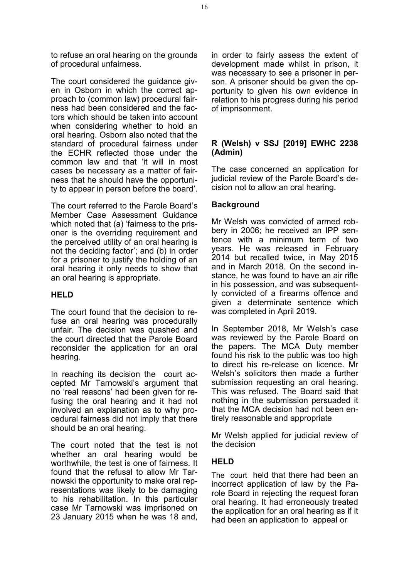to refuse an oral hearing on the grounds of procedural unfairness.

The court considered the quidance given in Osborn in which the correct approach to (common law) procedural fairness had been considered and the factors which should be taken into account when considering whether to hold an oral hearing. Osborn also noted that the standard of procedural fairness under the ECHR reflected those under the common law and that 'it will in most cases be necessary as a matter of fairness that he should have the opportunity to appear in person before the board'.

The court referred to the Parole Board's Member Case Assessment Guidance which noted that (a) 'fairness to the prisoner is the overriding requirement and the perceived utility of an oral hearing is not the deciding factor'; and (b) in order for a prisoner to justify the holding of an oral hearing it only needs to show that an oral hearing is appropriate.

## **HELD**

The court found that the decision to refuse an oral hearing was procedurally unfair. The decision was quashed and the court directed that the Parole Board reconsider the application for an oral hearing.

In reaching its decision the court accepted Mr Tarnowski's argument that no 'real reasons' had been given for refusing the oral hearing and it had not involved an explanation as to why procedural fairness did not imply that there should be an oral hearing.

The court noted that the test is not whether an oral hearing would be worthwhile, the test is one of fairness. It found that the refusal to allow Mr Tarnowski the opportunity to make oral representations was likely to be damaging to his rehabilitation. In this particular case Mr Tarnowski was imprisoned on 23 January 2015 when he was 18 and, in order to fairly assess the extent of development made whilst in prison, it was necessary to see a prisoner in person. A prisoner should be given the opportunity to given his own evidence in relation to his progress during his period of imprisonment.

## **R (Welsh) v SSJ [2019] EWHC 2238 (Admin)**

The case concerned an application for judicial review of the Parole Board's decision not to allow an oral hearing.

# **Background**

Mr Welsh was convicted of armed robbery in 2006; he received an IPP sentence with a minimum term of two years. He was released in February 2014 but recalled twice, in May 2015 and in March 2018. On the second instance, he was found to have an air rifle in his possession, and was subsequently convicted of a firearms offence and given a determinate sentence which was completed in April 2019.

In September 2018, Mr Welsh's case was reviewed by the Parole Board on the papers. The MCA Duty member found his risk to the public was too high to direct his re-release on licence. Mr Welsh's solicitors then made a further submission requesting an oral hearing. This was refused. The Board said that nothing in the submission persuaded it that the MCA decision had not been entirely reasonable and appropriate

Mr Welsh applied for judicial review of the decision

# **HELD**

The court held that there had been an incorrect application of law by the Parole Board in rejecting the request foran oral hearing. It had erroneously treated the application for an oral hearing as if it had been an application to appeal or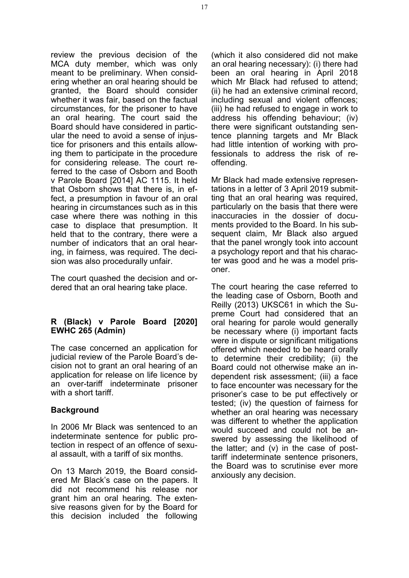review the previous decision of the MCA duty member, which was only meant to be preliminary. When considering whether an oral hearing should be granted, the Board should consider whether it was fair, based on the factual circumstances, for the prisoner to have an oral hearing. The court said the Board should have considered in particular the need to avoid a sense of injustice for prisoners and this entails allowing them to participate in the procedure for considering release. The court referred to the case of Osborn and Booth v Parole Board [2014] AC 1115. It held that Osborn shows that there is, in effect, a presumption in favour of an oral hearing in circumstances such as in this case where there was nothing in this case to displace that presumption. It held that to the contrary, there were a number of indicators that an oral hearing, in fairness, was required. The decision was also procedurally unfair.

The court quashed the decision and ordered that an oral hearing take place.

## **R (Black) v Parole Board [2020] EWHC 265 (Admin)**

The case concerned an application for judicial review of the Parole Board's decision not to grant an oral hearing of an application for release on life licence by an over-tariff indeterminate prisoner with a short tariff.

## **Background**

In 2006 Mr Black was sentenced to an indeterminate sentence for public protection in respect of an offence of sexual assault, with a tariff of six months.

On 13 March 2019, the Board considered Mr Black's case on the papers. It did not recommend his release nor grant him an oral hearing. The extensive reasons given for by the Board for this decision included the following

(which it also considered did not make an oral hearing necessary): (i) there had been an oral hearing in April 2018 which Mr Black had refused to attend: (ii) he had an extensive criminal record, including sexual and violent offences; (iii) he had refused to engage in work to address his offending behaviour; (iv) there were significant outstanding sentence planning targets and Mr Black had little intention of working with professionals to address the risk of reoffending.

Mr Black had made extensive representations in a letter of 3 April 2019 submitting that an oral hearing was required, particularly on the basis that there were inaccuracies in the dossier of documents provided to the Board. In his subsequent claim, Mr Black also argued that the panel wrongly took into account a psychology report and that his character was good and he was a model prisoner.

The court hearing the case referred to the leading case of Osborn, Booth and Reilly (2013) UKSC61 in which the Supreme Court had considered that an oral hearing for parole would generally be necessary where (i) important facts were in dispute or significant mitigations offered which needed to be heard orally to determine their credibility; (ii) the Board could not otherwise make an independent risk assessment; (iii) a face to face encounter was necessary for the prisoner's case to be put effectively or tested; (iv) the question of fairness for whether an oral hearing was necessary was different to whether the application would succeed and could not be answered by assessing the likelihood of the latter; and (v) in the case of posttariff indeterminate sentence prisoners, the Board was to scrutinise ever more anxiously any decision.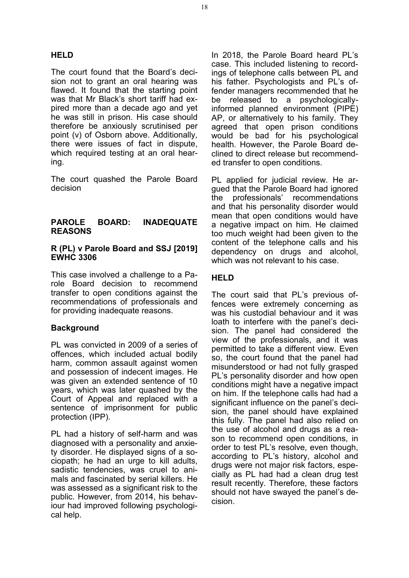# **HELD**

The court found that the Board's decision not to grant an oral hearing was flawed. It found that the starting point was that Mr Black's short tariff had expired more than a decade ago and yet he was still in prison. His case should therefore be anxiously scrutinised per point (v) of Osborn above. Additionally, there were issues of fact in dispute, which required testing at an oral hearing.

The court quashed the Parole Board decision

#### **PAROLE BOARD: INADEQUATE REASONS Sig**

#### **R (PL) v Parole Board and SSJ [2019] EWHC 3306**

This case involved a challenge to a Parole Board decision to recommend transfer to open conditions against the recommendations of professionals and for providing inadequate reasons.

# **Background**

PL was convicted in 2009 of a series of offences, which included actual bodily harm, common assault against women and possession of indecent images. He was given an extended sentence of 10 years, which was later quashed by the Court of Appeal and replaced with a sentence of imprisonment for public protection (IPP).

PL had a history of self-harm and was diagnosed with a personality and anxiety disorder. He displayed signs of a sociopath; he had an urge to kill adults, sadistic tendencies, was cruel to animals and fascinated by serial killers. He was assessed as a significant risk to the public. However, from 2014, his behaviour had improved following psychological help.

In 2018, the Parole Board heard PL's case. This included listening to recordings of telephone calls between PL and his father. Psychologists and PL's offender managers recommended that he be released to a psychologicallyinformed planned environment (PIPE) AP, or alternatively to his family. They agreed that open prison conditions would be bad for his psychological health. However, the Parole Board declined to direct release but recommended transfer to open conditions.

PL applied for judicial review. He argued that the Parole Board had ignored the professionals' recommendations and that his personality disorder would mean that open conditions would have a negative impact on him. He claimed too much weight had been given to the content of the telephone calls and his dependency on drugs and alcohol, which was not relevant to his case.

# **HELD**

The court said that PL's previous offences were extremely concerning as was his custodial behaviour and it was loath to interfere with the panel's decision. The panel had considered the view of the professionals, and it was permitted to take a different view. Even so, the court found that the panel had misunderstood or had not fully grasped PL's personality disorder and how open conditions might have a negative impact on him. If the telephone calls had had a significant influence on the panel's decision, the panel should have explained this fully. The panel had also relied on the use of alcohol and drugs as a reason to recommend open conditions, in order to test PL's resolve, even though, according to PL's history, alcohol and drugs were not major risk factors, especially as PL had had a clean drug test result recently. Therefore, these factors should not have swayed the panel's decision.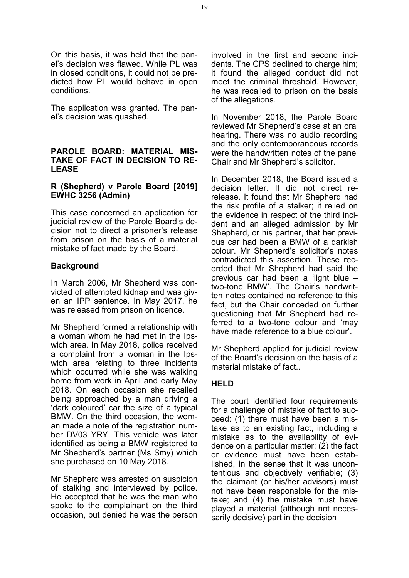On this basis, it was held that the panel's decision was flawed. While PL was in closed conditions, it could not be predicted how PL would behave in open conditions.

The application was granted. The panel's decision was quashed.

#### **PAROLE BOARD: MATERIAL MIS-TAKE OF FACT IN DECISION TO RE-LEASE**

# **R (Shepherd) v Parole Board [2019] EWHC 3256 (Admin)**

This case concerned an application for judicial review of the Parole Board's decision not to direct a prisoner's release from prison on the basis of a material mistake of fact made by the Board.

# **Background**

In March 2006, Mr Shepherd was convicted of attempted kidnap and was given an IPP sentence. In May 2017, he was released from prison on licence.

Mr Shepherd formed a relationship with a woman whom he had met in the Ipswich area. In May 2018, police received a complaint from a woman in the Ipswich area relating to three incidents which occurred while she was walking home from work in April and early May 2018. On each occasion she recalled being approached by a man driving a 'dark coloured' car the size of a typical BMW. On the third occasion, the woman made a note of the registration number DV03 YRY. This vehicle was later identified as being a BMW registered to Mr Shepherd's partner (Ms Smy) which she purchased on 10 May 2018.

Mr Shepherd was arrested on suspicion of stalking and interviewed by police. He accepted that he was the man who spoke to the complainant on the third occasion, but denied he was the person involved in the first and second incidents. The CPS declined to charge him; it found the alleged conduct did not meet the criminal threshold. However, he was recalled to prison on the basis of the allegations.

In November 2018, the Parole Board reviewed Mr Shepherd's case at an oral hearing. There was no audio recording and the only contemporaneous records were the handwritten notes of the panel Chair and Mr Shepherd's solicitor.

In December 2018, the Board issued a decision letter. It did not direct rerelease. It found that Mr Shepherd had the risk profile of a stalker; it relied on the evidence in respect of the third incident and an alleged admission by Mr Shepherd, or his partner, that her previous car had been a BMW of a darkish colour. Mr Shepherd's solicitor's notes contradicted this assertion. These recorded that Mr Shepherd had said the previous car had been a 'light blue – two-tone BMW'. The Chair's handwritten notes contained no reference to this fact, but the Chair conceded on further questioning that Mr Shepherd had referred to a two-tone colour and 'may have made reference to a blue colour'.

Mr Shepherd applied for judicial review of the Board's decision on the basis of a material mistake of fact..

# **HELD**

The court identified four requirements for a challenge of mistake of fact to succeed: (1) there must have been a mistake as to an existing fact, including a mistake as to the availability of evidence on a particular matter; (2) the fact or evidence must have been established, in the sense that it was uncontentious and objectively verifiable; (3) the claimant (or his/her advisors) must not have been responsible for the mistake; and (4) the mistake must have played a material (although not necessarily decisive) part in the decision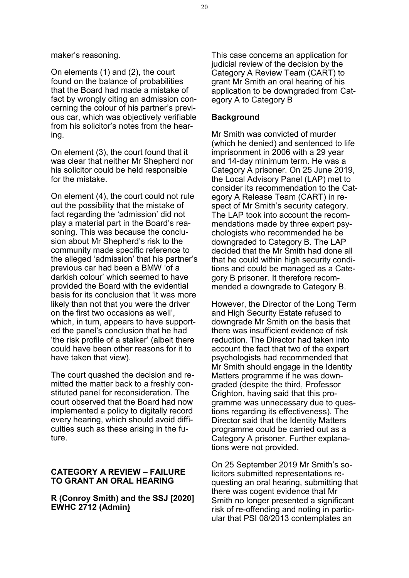maker's reasoning.

On elements (1) and (2), the court found on the balance of probabilities that the Board had made a mistake of fact by wrongly citing an admission concerning the colour of his partner's previous car, which was objectively verifiable from his solicitor's notes from the hearing.

On element (3), the court found that it was clear that neither Mr Shepherd nor his solicitor could be held responsible for the mistake.

On element (4), the court could not rule out the possibility that the mistake of fact regarding the 'admission' did not play a material part in the Board's reasoning. This was because the conclusion about Mr Shepherd's risk to the community made specific reference to the alleged 'admission' that his partner's previous car had been a BMW 'of a darkish colour' which seemed to have provided the Board with the evidential basis for its conclusion that 'it was more likely than not that you were the driver on the first two occasions as well', which, in turn, appears to have supported the panel's conclusion that he had 'the risk profile of a stalker' (albeit there could have been other reasons for it to have taken that view).

The court quashed the decision and remitted the matter back to a freshly constituted panel for reconsideration. The court observed that the Board had now implemented a policy to digitally record every hearing, which should avoid difficulties such as these arising in the future.

#### **CATEGORY A REVIEW – FAILURE TO GRANT AN ORAL HEARING**

#### **R (Conroy Smith) and the SSJ [2020] EWHC 2712 (Admin)**

This case concerns an application for judicial review of the decision by the Category A Review Team (CART) to grant Mr Smith an oral hearing of his application to be downgraded from Category A to Category B

#### **Background**

Mr Smith was convicted of murder (which he denied) and sentenced to life imprisonment in 2006 with a 29 year and 14-day minimum term. He was a Category A prisoner. On 25 June 2019, the Local Advisory Panel (LAP) met to consider its recommendation to the Category A Release Team (CART) in respect of Mr Smith's security category. The LAP took into account the recommendations made by three expert psychologists who recommended he be downgraded to Category B. The LAP decided that the Mr Smith had done all that he could within high security conditions and could be managed as a Category B prisoner. It therefore recommended a downgrade to Category B.

However, the Director of the Long Term and High Security Estate refused to downgrade Mr Smith on the basis that there was insufficient evidence of risk reduction. The Director had taken into account the fact that two of the expert psychologists had recommended that Mr Smith should engage in the Identity Matters programme if he was downgraded (despite the third, Professor Crighton, having said that this programme was unnecessary due to questions regarding its effectiveness). The Director said that the Identity Matters programme could be carried out as a Category A prisoner. Further explanations were not provided.

On 25 September 2019 Mr Smith's solicitors submitted representations requesting an oral hearing, submitting that there was cogent evidence that Mr Smith no longer presented a significant risk of re-offending and noting in particular that PSI 08/2013 contemplates an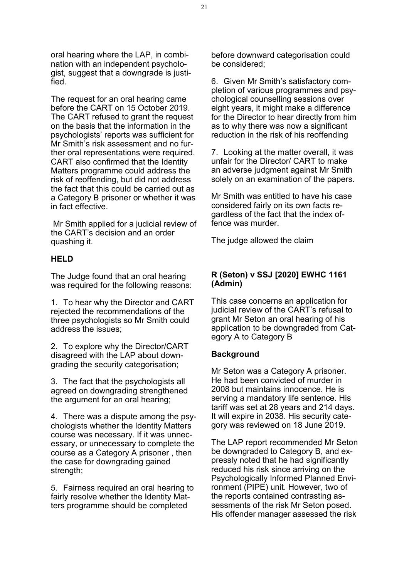oral hearing where the LAP, in combination with an independent psychologist, suggest that a downgrade is justified.

The request for an oral hearing came before the CART on 15 October 2019. The CART refused to grant the request on the basis that the information in the psychologists' reports was sufficient for Mr Smith's risk assessment and no further oral representations were required. CART also confirmed that the Identity Matters programme could address the risk of reoffending, but did not address the fact that this could be carried out as a Category B prisoner or whether it was in fact effective.

Mr Smith applied for a judicial review of the CART's decision and an order quashing it.

#### **HELD**

The Judge found that an oral hearing was required for the following reasons:

1. To hear why the Director and CART rejected the recommendations of the three psychologists so Mr Smith could address the issues;

2. To explore why the Director/CART disagreed with the LAP about downgrading the security categorisation;

3. The fact that the psychologists all agreed on downgrading strengthened the argument for an oral hearing;

4. There was a dispute among the psychologists whether the Identity Matters course was necessary. If it was unnecessary, or unnecessary to complete the course as a Category A prisoner , then the case for downgrading gained strength;

5. Fairness required an oral hearing to fairly resolve whether the Identity Matters programme should be completed

before downward categorisation could be considered;

6. Given Mr Smith's satisfactory completion of various programmes and psychological counselling sessions over eight years, it might make a difference for the Director to hear directly from him as to why there was now a significant reduction in the risk of his reoffending

7. Looking at the matter overall, it was unfair for the Director/ CART to make an adverse judgment against Mr Smith solely on an examination of the papers.

Mr Smith was entitled to have his case considered fairly on its own facts regardless of the fact that the index offence was murder.

The judge allowed the claim

#### **R (Seton) v SSJ [2020] EWHC 1161 (Admin)**

This case concerns an application for judicial review of the CART's refusal to grant Mr Seton an oral hearing of his application to be downgraded from Category A to Category B

#### **Background**

Mr Seton was a Category A prisoner. He had been convicted of murder in 2008 but maintains innocence. He is serving a mandatory life sentence. His tariff was set at 28 years and 214 days. It will expire in 2038. His security category was reviewed on 18 June 2019.

The LAP report recommended Mr Seton be downgraded to Category B, and expressly noted that he had significantly reduced his risk since arriving on the Psychologically Informed Planned Environment (PIPE) unit. However, two of the reports contained contrasting assessments of the risk Mr Seton posed. His offender manager assessed the risk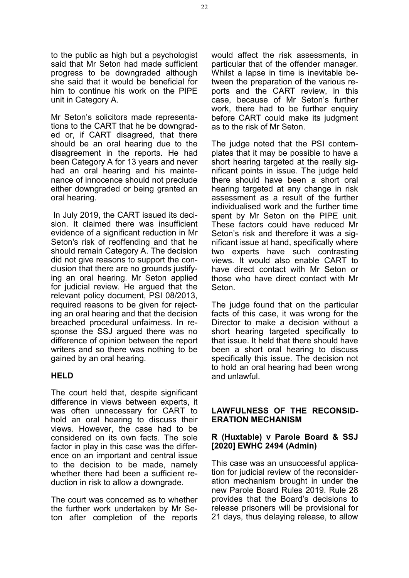to the public as high but a psychologist said that Mr Seton had made sufficient progress to be downgraded although she said that it would be beneficial for him to continue his work on the PIPE unit in Category A.

Mr Seton's solicitors made representations to the CART that he be downgraded or, if CART disagreed, that there should be an oral hearing due to the disagreement in the reports. He had been Category A for 13 years and never had an oral hearing and his maintenance of innocence should not preclude either downgraded or being granted an oral hearing.

In July 2019, the CART issued its decision. It claimed there was insufficient evidence of a significant reduction in Mr Seton's risk of reoffending and that he should remain Category A. The decision did not give reasons to support the conclusion that there are no grounds justifying an oral hearing. Mr Seton applied for judicial review. He argued that the relevant policy document, PSI 08/2013, required reasons to be given for rejecting an oral hearing and that the decision breached procedural unfairness. In response the SSJ argued there was no difference of opinion between the report writers and so there was nothing to be gained by an oral hearing.

# **HELD**

The court held that, despite significant difference in views between experts, it was often unnecessary for CART to hold an oral hearing to discuss their views. However, the case had to be considered on its own facts. The sole factor in play in this case was the difference on an important and central issue to the decision to be made, namely whether there had been a sufficient reduction in risk to allow a downgrade.

The court was concerned as to whether the further work undertaken by Mr Seton after completion of the reports would affect the risk assessments, in particular that of the offender manager. Whilst a lapse in time is inevitable between the preparation of the various reports and the CART review, in this case, because of Mr Seton's further work, there had to be further enquiry before CART could make its judgment as to the risk of Mr Seton.

The judge noted that the PSI contemplates that it may be possible to have a short hearing targeted at the really significant points in issue. The judge held there should have been a short oral hearing targeted at any change in risk assessment as a result of the further individualised work and the further time spent by Mr Seton on the PIPE unit. These factors could have reduced Mr Seton's risk and therefore it was a significant issue at hand, specifically where two experts have such contrasting views. It would also enable CART to have direct contact with Mr Seton or those who have direct contact with Mr Seton.

The judge found that on the particular facts of this case, it was wrong for the Director to make a decision without a short hearing targeted specifically to that issue. It held that there should have been a short oral hearing to discuss specifically this issue. The decision not to hold an oral hearing had been wrong and unlawful.

# **LAWFULNESS OF THE RECONSID-ERATION MECHANISM**

# **R (Huxtable) v Parole Board & SSJ [2020] EWHC 2494 (Admin)**

This case was an unsuccessful application for judicial review of the reconsideration mechanism brought in under the new Parole Board Rules 2019. Rule 28 provides that the Board's decisions to release prisoners will be provisional for 21 days, thus delaying release, to allow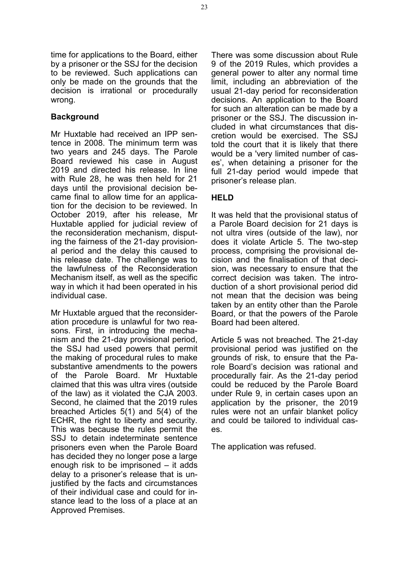time for applications to the Board, either by a prisoner or the SSJ for the decision to be reviewed. Such applications can only be made on the grounds that the decision is irrational or procedurally wrong.

# **Background**

Mr Huxtable had received an IPP sentence in 2008. The minimum term was two years and 245 days. The Parole Board reviewed his case in August 2019 and directed his release. In line with Rule 28, he was then held for 21 days until the provisional decision became final to allow time for an application for the decision to be reviewed. In October 2019, after his release, Mr Huxtable applied for judicial review of the reconsideration mechanism, disputing the fairness of the 21-day provisional period and the delay this caused to his release date. The challenge was to the lawfulness of the Reconsideration Mechanism itself, as well as the specific way in which it had been operated in his individual case.

Mr Huxtable argued that the reconsideration procedure is unlawful for two reasons. First, in introducing the mechanism and the 21-day provisional period, the SSJ had used powers that permit the making of procedural rules to make substantive amendments to the powers of the Parole Board. Mr Huxtable claimed that this was ultra vires (outside of the law) as it violated the CJA 2003. Second, he claimed that the 2019 rules breached Articles 5(1) and 5(4) of the ECHR, the right to liberty and security. This was because the rules permit the SSJ to detain indeterminate sentence prisoners even when the Parole Board has decided they no longer pose a large enough risk to be imprisoned – it adds delay to a prisoner's release that is unjustified by the facts and circumstances of their individual case and could for instance lead to the loss of a place at an Approved Premises.

There was some discussion about Rule 9 of the 2019 Rules, which provides a general power to alter any normal time limit, including an abbreviation of the usual 21-day period for reconsideration decisions. An application to the Board for such an alteration can be made by a prisoner or the SSJ. The discussion included in what circumstances that discretion would be exercised. The SSJ told the court that it is likely that there would be a 'very limited number of cases', when detaining a prisoner for the full 21-day period would impede that prisoner's release plan.

# **HELD**

It was held that the provisional status of a Parole Board decision for 21 days is not ultra vires (outside of the law), nor does it violate Article 5. The two-step process, comprising the provisional decision and the finalisation of that decision, was necessary to ensure that the correct decision was taken. The introduction of a short provisional period did not mean that the decision was being taken by an entity other than the Parole Board, or that the powers of the Parole Board had been altered.

Article 5 was not breached. The 21-day provisional period was justified on the grounds of risk, to ensure that the Parole Board's decision was rational and procedurally fair. As the 21-day period could be reduced by the Parole Board under Rule 9, in certain cases upon an application by the prisoner, the 2019 rules were not an unfair blanket policy and could be tailored to individual cases.

The application was refused.